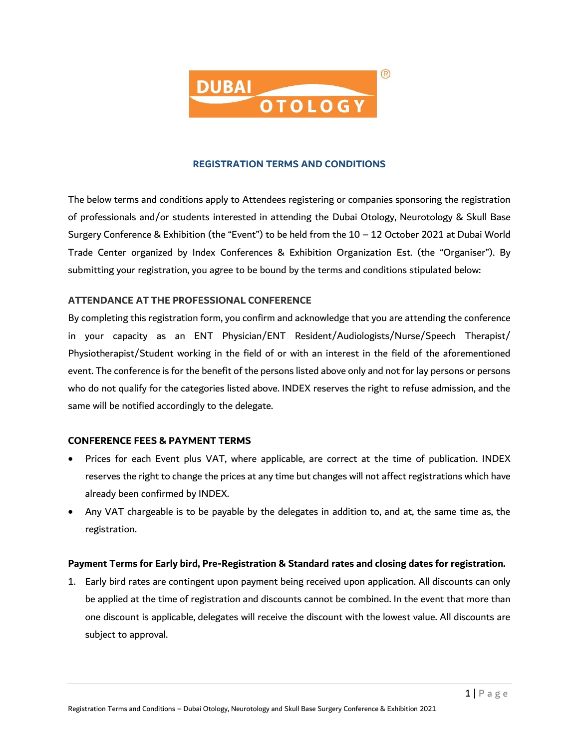

## **REGISTRATION TERMS AND CONDITIONS**

The below terms and conditions apply to Attendees registering or companies sponsoring the registration of professionals and/or students interested in attending the Dubai Otology, Neurotology & Skull Base Surgery Conference & Exhibition (the "Event") to be held from the 10 – 12 October 2021 at Dubai World Trade Center organized by Index Conferences & Exhibition Organization Est. (the "Organiser"). By submitting your registration, you agree to be bound by the terms and conditions stipulated below:

## **ATTENDANCE AT THE PROFESSIONAL CONFERENCE**

By completing this registration form, you confirm and acknowledge that you are attending the conference in your capacity as an ENT Physician/ENT Resident/Audiologists/Nurse/Speech Therapist/ Physiotherapist/Student working in the field of or with an interest in the field of the aforementioned event. The conference is for the benefit of the persons listed above only and not for lay persons or persons who do not qualify for the categories listed above. INDEX reserves the right to refuse admission, and the same will be notified accordingly to the delegate.

#### **CONFERENCE FEES & PAYMENT TERMS**

- Prices for each Event plus VAT, where applicable, are correct at the time of publication. INDEX reserves the right to change the prices at any time but changes will not affect registrations which have already been confirmed by INDEX.
- Any VAT chargeable is to be payable by the delegates in addition to, and at, the same time as, the registration.

#### **Payment Terms for Early bird, Pre-Registration & Standard rates and closing dates for registration.**

1. Early bird rates are contingent upon payment being received upon application. All discounts can only be applied at the time of registration and discounts cannot be combined. In the event that more than one discount is applicable, delegates will receive the discount with the lowest value. All discounts are subject to approval.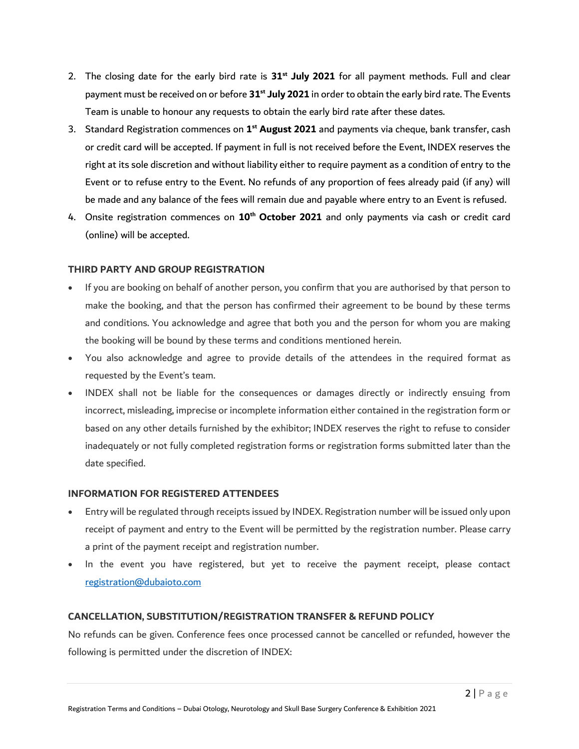- 2. The closing date for the early bird rate is **31st July 2021** for all payment methods. Full and clear payment must be received on or before **31st July 2021** in order to obtain the early bird rate. The Events Team is unable to honour any requests to obtain the early bird rate after these dates.
- 3. Standard Registration commences on **1 st August 2021** and payments via cheque, bank transfer, cash or credit card will be accepted. If payment in full is not received before the Event, INDEX reserves the right at its sole discretion and without liability either to require payment as a condition of entry to the Event or to refuse entry to the Event. No refunds of any proportion of fees already paid (if any) will be made and any balance of the fees will remain due and payable where entry to an Event is refused.
- 4. Onsite registration commences on **10 th October 2021** and only payments via cash or credit card (online) will be accepted.

## **THIRD PARTY AND GROUP REGISTRATION**

- If you are booking on behalf of another person, you confirm that you are authorised by that person to make the booking, and that the person has confirmed their agreement to be bound by these terms and conditions. You acknowledge and agree that both you and the person for whom you are making the booking will be bound by these terms and conditions mentioned herein.
- You also acknowledge and agree to provide details of the attendees in the required format as requested by the Event's team.
- INDEX shall not be liable for the consequences or damages directly or indirectly ensuing from incorrect, misleading, imprecise or incomplete information either contained in the registration form or based on any other details furnished by the exhibitor; INDEX reserves the right to refuse to consider inadequately or not fully completed registration forms or registration forms submitted later than the date specified.

#### **INFORMATION FOR REGISTERED ATTENDEES**

- Entry will be regulated through receipts issued by INDEX. Registration number will be issued only upon receipt of payment and entry to the Event will be permitted by the registration number. Please carry a print of the payment receipt and registration number.
- . In the event you have registered, but yet to receive the payment receipt, please contact [registration@dubaioto.com](mailto:registration@dubaioto.com)

# **CANCELLATION, SUBSTITUTION/REGISTRATION TRANSFER & REFUND POLICY**

No refunds can be given. Conference fees once processed cannot be cancelled or refunded, however the following is permitted under the discretion of INDEX: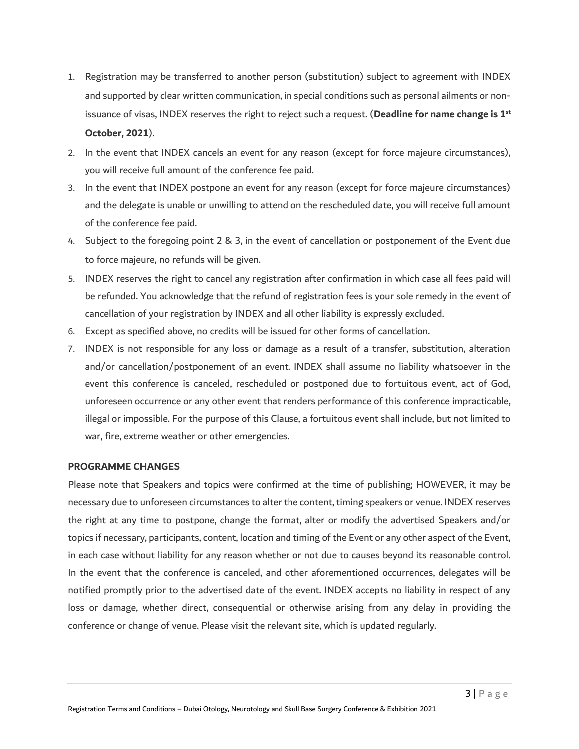- 1. Registration may be transferred to another person (substitution) subject to agreement with INDEX and supported by clear written communication, in special conditions such as personal ailments or nonissuance of visas, INDEX reserves the right to reject such a request. (**Deadline for name change is 1 st October, 2021**).
- 2. In the event that INDEX cancels an event for any reason (except for force majeure circumstances), you will receive full amount of the conference fee paid.
- 3. In the event that INDEX postpone an event for any reason (except for force majeure circumstances) and the delegate is unable or unwilling to attend on the rescheduled date, you will receive full amount of the conference fee paid.
- 4. Subject to the foregoing point 2 & 3, in the event of cancellation or postponement of the Event due to force majeure, no refunds will be given.
- 5. INDEX reserves the right to cancel any registration after confirmation in which case all fees paid will be refunded. You acknowledge that the refund of registration fees is your sole remedy in the event of cancellation of your registration by INDEX and all other liability is expressly excluded.
- 6. Except as specified above, no credits will be issued for other forms of cancellation.
- 7. INDEX is not responsible for any loss or damage as a result of a transfer, substitution, alteration and/or cancellation/postponement of an event. INDEX shall assume no liability whatsoever in the event this conference is canceled, rescheduled or postponed due to fortuitous event, act of God, unforeseen occurrence or any other event that renders performance of this conference impracticable, illegal or impossible. For the purpose of this Clause, a fortuitous event shall include, but not limited to war, fire, extreme weather or other emergencies.

#### **PROGRAMME CHANGES**

Please note that Speakers and topics were confirmed at the time of publishing; HOWEVER, it may be necessary due to unforeseen circumstances to alter the content, timing speakers or venue. INDEX reserves the right at any time to postpone, change the format, alter or modify the advertised Speakers and/or topics if necessary, participants, content, location and timing of the Event or any other aspect of the Event, in each case without liability for any reason whether or not due to causes beyond its reasonable control. In the event that the conference is canceled, and other aforementioned occurrences, delegates will be notified promptly prior to the advertised date of the event. INDEX accepts no liability in respect of any loss or damage, whether direct, consequential or otherwise arising from any delay in providing the conference or change of venue. Please visit the relevant site, which is updated regularly.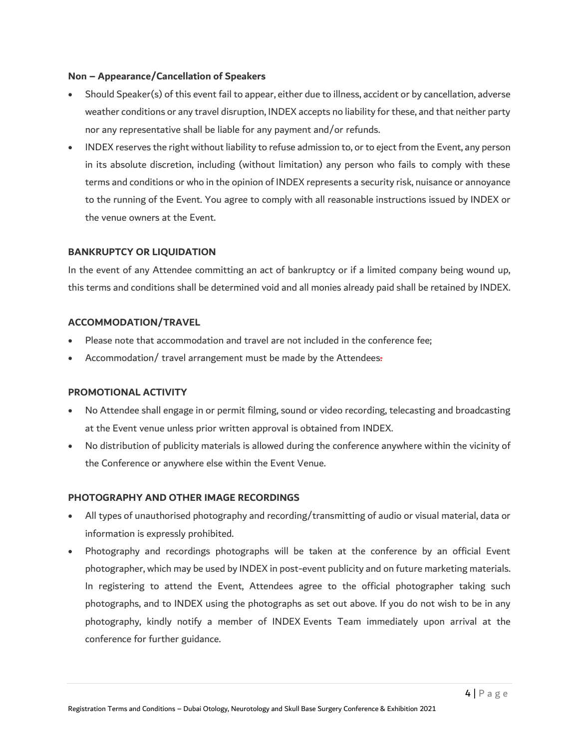## **Non – Appearance/Cancellation of Speakers**

- Should Speaker(s) of this event fail to appear, either due to illness, accident or by cancellation, adverse weather conditions or any travel disruption, INDEX accepts no liability for these, and that neither party nor any representative shall be liable for any payment and/or refunds.
- INDEX reserves the right without liability to refuse admission to, or to eject from the Event, any person in its absolute discretion, including (without limitation) any person who fails to comply with these terms and conditions or who in the opinion of INDEX represents a security risk, nuisance or annoyance to the running of the Event. You agree to comply with all reasonable instructions issued by INDEX or the venue owners at the Event.

# **BANKRUPTCY OR LIQUIDATION**

In the event of any Attendee committing an act of bankruptcy or if a limited company being wound up, this terms and conditions shall be determined void and all monies already paid shall be retained by INDEX.

## **ACCOMMODATION/TRAVEL**

- Please note that accommodation and travel are not included in the conference fee;
- Accommodation/ travel arrangement must be made by the Attendees.

#### **PROMOTIONAL ACTIVITY**

- No Attendee shall engage in or permit filming, sound or video recording, telecasting and broadcasting at the Event venue unless prior written approval is obtained from INDEX.
- No distribution of publicity materials is allowed during the conference anywhere within the vicinity of the Conference or anywhere else within the Event Venue.

#### **PHOTOGRAPHY AND OTHER IMAGE RECORDINGS**

- All types of unauthorised photography and recording/transmitting of audio or visual material, data or information is expressly prohibited.
- Photography and recordings photographs will be taken at the conference by an official Event photographer, which may be used by INDEX in post-event publicity and on future marketing materials. In registering to attend the Event, Attendees agree to the official photographer taking such photographs, and to INDEX using the photographs as set out above. If you do not wish to be in any photography, kindly notify a member of INDEX Events Team immediately upon arrival at the conference for further guidance.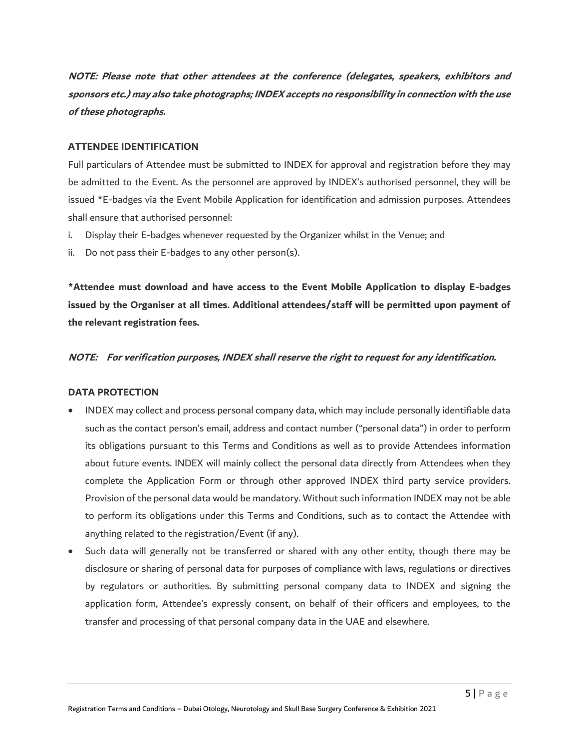**NOTE: Please note that other attendees at the conference (delegates, speakers, exhibitors and sponsors etc.) may also take photographs; INDEX accepts no responsibility in connection with the use of these photographs.**

## **ATTENDEE IDENTIFICATION**

Full particulars of Attendee must be submitted to INDEX for approval and registration before they may be admitted to the Event. As the personnel are approved by INDEX's authorised personnel, they will be issued \*E-badges via the Event Mobile Application for identification and admission purposes. Attendees shall ensure that authorised personnel:

- i. Display their E-badges whenever requested by the Organizer whilst in the Venue; and
- ii. Do not pass their E-badges to any other person(s).

**\*Attendee must download and have access to the Event Mobile Application to display E-badges issued by the Organiser at all times. Additional attendees/staff will be permitted upon payment of the relevant registration fees.**

#### **NOTE: For verification purposes, INDEX shall reserve the right to request for any identification.**

#### **DATA PROTECTION**

- INDEX may collect and process personal company data, which may include personally identifiable data such as the contact person's email, address and contact number ("personal data") in order to perform its obligations pursuant to this Terms and Conditions as well as to provide Attendees information about future events. INDEX will mainly collect the personal data directly from Attendees when they complete the Application Form or through other approved INDEX third party service providers. Provision of the personal data would be mandatory. Without such information INDEX may not be able to perform its obligations under this Terms and Conditions, such as to contact the Attendee with anything related to the registration/Event (if any).
- Such data will generally not be transferred or shared with any other entity, though there may be disclosure or sharing of personal data for purposes of compliance with laws, regulations or directives by regulators or authorities. By submitting personal company data to INDEX and signing the application form, Attendee's expressly consent, on behalf of their officers and employees, to the transfer and processing of that personal company data in the UAE and elsewhere.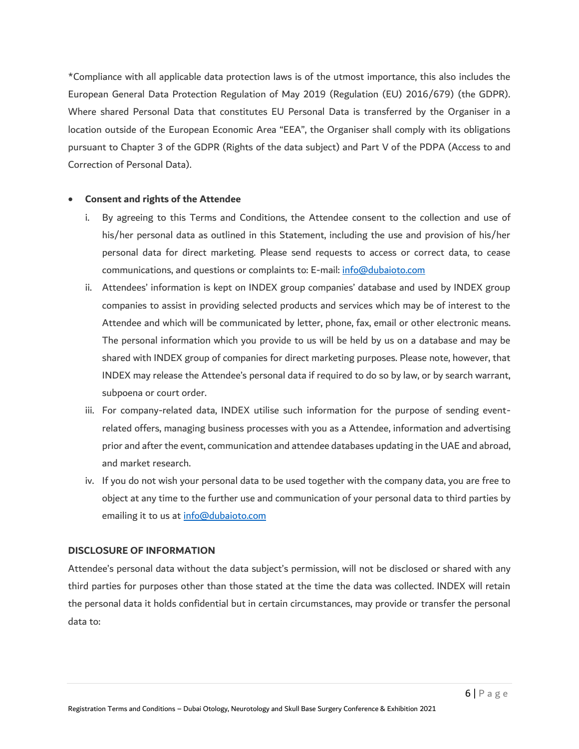\*Compliance with all applicable data protection laws is of the utmost importance, this also includes the European General Data Protection Regulation of May 2019 (Regulation (EU) 2016/679) (the GDPR). Where shared Personal Data that constitutes EU Personal Data is transferred by the Organiser in a location outside of the European Economic Area "EEA", the Organiser shall comply with its obligations pursuant to Chapter 3 of the GDPR (Rights of the data subject) and Part V of the PDPA (Access to and Correction of Personal Data).

#### **Consent and rights of the Attendee**

- i. By agreeing to this Terms and Conditions, the Attendee consent to the collection and use of his/her personal data as outlined in this Statement, including the use and provision of his/her personal data for direct marketing. Please send requests to access or correct data, to cease communications, and questions or complaints to: E-mail: [info@dubaioto.com](mailto:info@dubaioto.com)
- ii. Attendees' information is kept on INDEX group companies' database and used by INDEX group companies to assist in providing selected products and services which may be of interest to the Attendee and which will be communicated by letter, phone, fax, email or other electronic means. The personal information which you provide to us will be held by us on a database and may be shared with INDEX group of companies for direct marketing purposes. Please note, however, that INDEX may release the Attendee's personal data if required to do so by law, or by search warrant, subpoena or court order.
- iii. For company-related data, INDEX utilise such information for the purpose of sending eventrelated offers, managing business processes with you as a Attendee, information and advertising prior and after the event, communication and attendee databases updating in the UAE and abroad, and market research.
- iv. If you do not wish your personal data to be used together with the company data, you are free to object at any time to the further use and communication of your personal data to third parties by emailing it to us at [info@dubaioto.com](mailto:info@dubaioto.com)

#### **DISCLOSURE OF INFORMATION**

Attendee's personal data without the data subject's permission, will not be disclosed or shared with any third parties for purposes other than those stated at the time the data was collected. INDEX will retain the personal data it holds confidential but in certain circumstances, may provide or transfer the personal data to: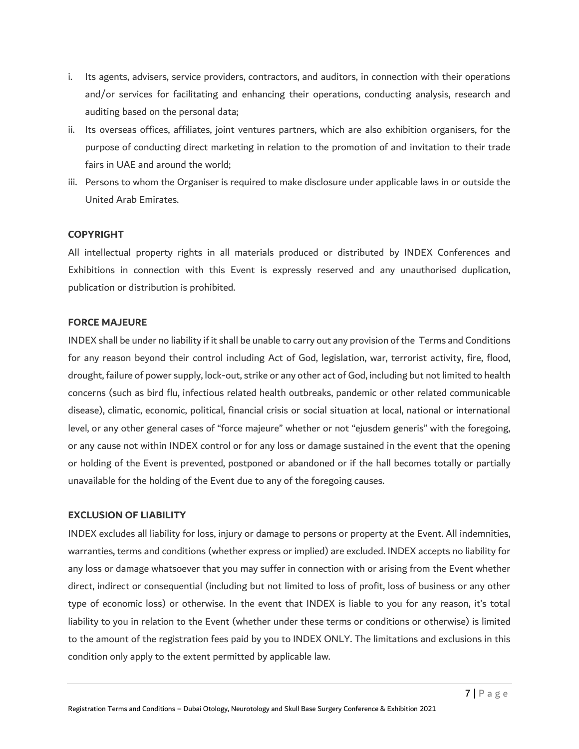- i. Its agents, advisers, service providers, contractors, and auditors, in connection with their operations and/or services for facilitating and enhancing their operations, conducting analysis, research and auditing based on the personal data;
- ii. Its overseas offices, affiliates, joint ventures partners, which are also exhibition organisers, for the purpose of conducting direct marketing in relation to the promotion of and invitation to their trade fairs in UAE and around the world;
- iii. Persons to whom the Organiser is required to make disclosure under applicable laws in or outside the United Arab Emirates.

## **COPYRIGHT**

All intellectual property rights in all materials produced or distributed by INDEX Conferences and Exhibitions in connection with this Event is expressly reserved and any unauthorised duplication, publication or distribution is prohibited.

## **FORCE MAJEURE**

INDEX shall be under no liability if it shall be unable to carry out any provision of the Terms and Conditions for any reason beyond their control including Act of God, legislation, war, terrorist activity, fire, flood, drought, failure of power supply, lock-out, strike or any other act of God, including but not limited to health concerns (such as bird flu, infectious related health outbreaks, pandemic or other related communicable disease), climatic, economic, political, financial crisis or social situation at local, national or international level, or any other general cases of "force majeure" whether or not "ejusdem generis" with the foregoing, or any cause not within INDEX control or for any loss or damage sustained in the event that the opening or holding of the Event is prevented, postponed or abandoned or if the hall becomes totally or partially unavailable for the holding of the Event due to any of the foregoing causes.

## **EXCLUSION OF LIABILITY**

INDEX excludes all liability for loss, injury or damage to persons or property at the Event. All indemnities, warranties, terms and conditions (whether express or implied) are excluded. INDEX accepts no liability for any loss or damage whatsoever that you may suffer in connection with or arising from the Event whether direct, indirect or consequential (including but not limited to loss of profit, loss of business or any other type of economic loss) or otherwise. In the event that INDEX is liable to you for any reason, it's total liability to you in relation to the Event (whether under these terms or conditions or otherwise) is limited to the amount of the registration fees paid by you to INDEX ONLY. The limitations and exclusions in this condition only apply to the extent permitted by applicable law.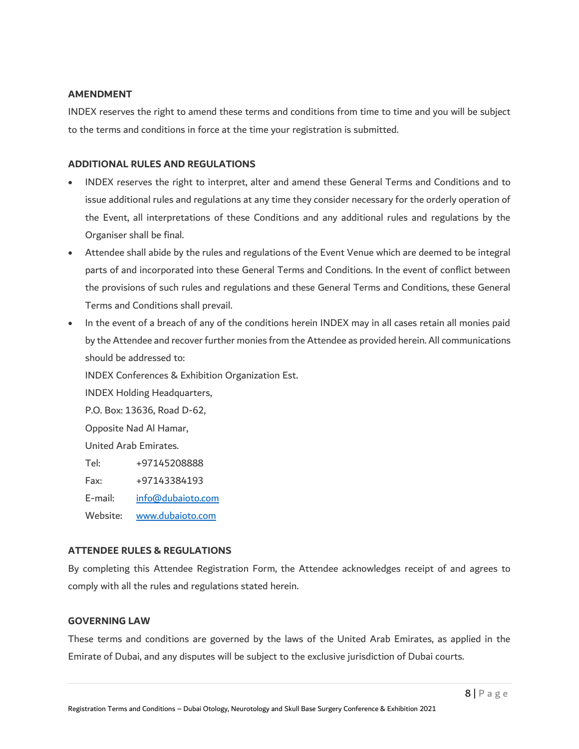## **AMENDMENT**

INDEX reserves the right to amend these terms and conditions from time to time and you will be subject to the terms and conditions in force at the time your registration is submitted.

# **ADDITIONAL RULES AND REGULATIONS**

- INDEX reserves the right to interpret, alter and amend these General Terms and Conditions and to issue additional rules and regulations at any time they consider necessary for the orderly operation of the Event, all interpretations of these Conditions and any additional rules and regulations by the Organiser shall be final.
- Attendee shall abide by the rules and regulations of the Event Venue which are deemed to be integral parts of and incorporated into these General Terms and Conditions. In the event of conflict between the provisions of such rules and regulations and these General Terms and Conditions, these General Terms and Conditions shall prevail.
- In the event of a breach of any of the conditions herein INDEX may in all cases retain all monies paid by the Attendee and recover further monies from the Attendee as provided herein. All communications should be addressed to:

INDEX Conferences & Exhibition Organization Est.

INDEX Holding Headquarters,

P.O. Box: 13636, Road D-62,

Opposite Nad Al Hamar,

United Arab Emirates.

Tel: +97145208888

Fax: +97143384193

- E-mail: [info@dubaioto.com](mailto:info@dubaioto.com)
- Website: [www.dubaioto.com](http://www.dubaioto.com/)

# **ATTENDEE RULES & REGULATIONS**

By completing this Attendee Registration Form, the Attendee acknowledges receipt of and agrees to comply with all the rules and regulations stated herein.

## **GOVERNING LAW**

These terms and conditions are governed by the laws of the United Arab Emirates, as applied in the Emirate of Dubai, and any disputes will be subject to the exclusive jurisdiction of Dubai courts.